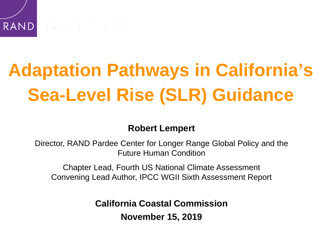# **Adaptation Pathways in California's Sea-Level Rise (SLR) Guidance**

#### **Robert Lempert**

Director, RAND Pardee Center for Longer Range Global Policy and the Future Human Condition

Chapter Lead, Fourth US National Climate Assessment Convening Lead Author, IPCC WGII Sixth Assessment Report

**California Coastal Commission**

**November 15, 2019**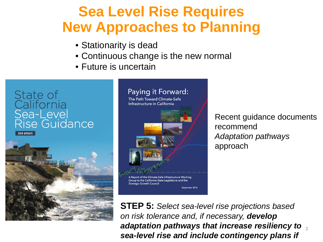### **Sea Level Rise Requires New Approaches to Planning**

- Stationarity is dead
- Continuous change is the new normal
- Future is uncertain



**2018 UPDATE** 



#### Paying it Forward: The Path Toward Climate-Safe Infrastructure in California

A Report of the Climate-Safe Infrastructure Working Group to the California State Legislature and the **Strategic Growth Council** 

Sentember 2018

Recent guidance documents recommend *Adaptation pathways*  approach

2 *adaptation pathways that increase resiliency to*  **STEP 5:** *Select sea-level rise projections based on risk tolerance and, if necessary, develop sea-level rise and include contingency plans if*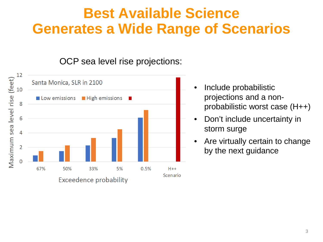### **Best Available Science Generates a Wide Range of Scenarios**

#### OCP sea level rise projections:



- Include probabilistic projections and a nonprobabilistic worst case (H++)
- Don't include uncertainty in storm surge
- Are virtually certain to change by the next guidance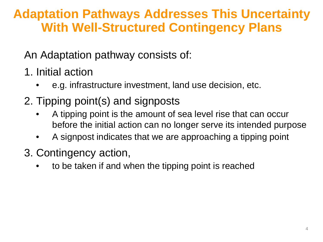#### **Adaptation Pathways Addresses This Uncertainty With Well-Structured Contingency Plans**

An Adaptation pathway consists of:

- 1. Initial action
	- e.g. infrastructure investment, land use decision, etc.
- 2. Tipping point(s) and signposts
	- A tipping point is the amount of sea level rise that can occur before the initial action can no longer serve its intended purpose
	- A signpost indicates that we are approaching a tipping point
- 3. Contingency action,
	- to be taken if and when the tipping point is reached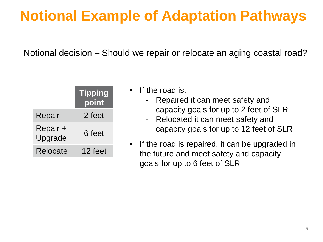# **Notional Example of Adaptation Pathways**

Notional decision – Should we repair or relocate an aging coastal road?

|                     | <b>Tipping</b><br>point |
|---------------------|-------------------------|
| Repair              | 2 feet                  |
| Repair +<br>Upgrade | 6 feet                  |
| Relocate            | 12 feet                 |

- If the road is:
	- Repaired it can meet safety and capacity goals for up to 2 feet of SLR
	- Relocated it can meet safety and capacity goals for up to 12 feet of SLR
- If the road is repaired, it can be upgraded in the future and meet safety and capacity goals for up to 6 feet of SLR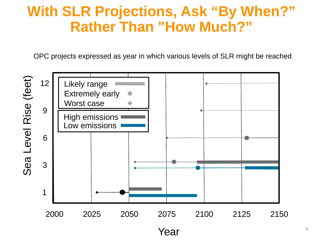#### **With SLR Projections, Ask "By When?" Rather Than "How Much?"**

OPC projects expressed as year in which various levels of SLR might be reached

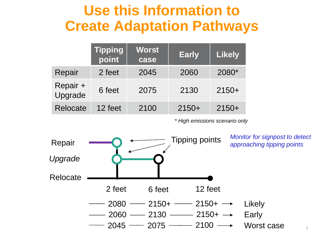#### **Use this Information to Create Adaptation Pathways**

|                     | <b>Tipping</b><br>point | <b>Worst</b><br>case | <b>Early</b> | <b>Likely</b> |
|---------------------|-------------------------|----------------------|--------------|---------------|
| Repair              | 2 feet                  | 2045                 | 2060         | 2080*         |
| Repair +<br>Upgrade | 6 feet                  | 2075                 | 2130         | $2150+$       |
| <b>Relocate</b>     | 12 feet                 | 2100                 | $2150+$      | $2150+$       |

*\* High emissions scenario only*

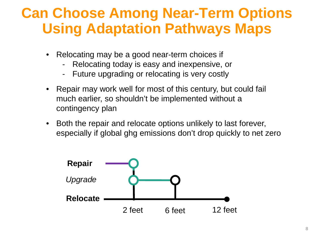### **Can Choose Among Near-Term Options Using Adaptation Pathways Maps**

- Relocating may be a good near-term choices if
	- Relocating today is easy and inexpensive, or
	- Future upgrading or relocating is very costly
- Repair may work well for most of this century, but could fail much earlier, so shouldn't be implemented without a contingency plan
- Both the repair and relocate options unlikely to last forever, especially if global ghg emissions don't drop quickly to net zero

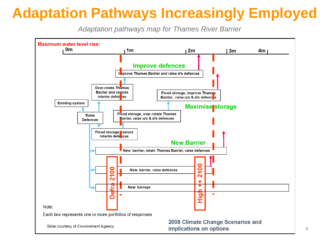# **Adaptation Pathways Increasingly Employed**

*Adaptation pathways map for Thames River Barrier*

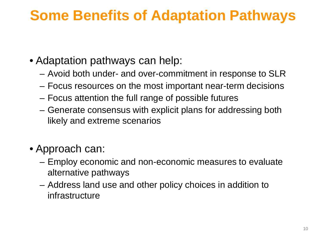## **Some Benefits of Adaptation Pathways**

- Adaptation pathways can help:
	- Avoid both under- and over-commitment in response to SLR
	- Focus resources on the most important near-term decisions
	- Focus attention the full range of possible futures
	- Generate consensus with explicit plans for addressing both likely and extreme scenarios
- Approach can:
	- Employ economic and non-economic measures to evaluate alternative pathways
	- Address land use and other policy choices in addition to infrastructure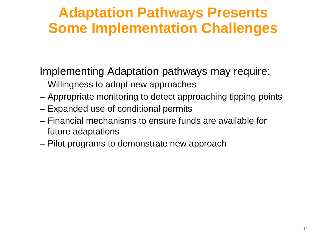## **Adaptation Pathways Presents Some Implementation Challenges**

Implementing Adaptation pathways may require:

- Willingness to adopt new approaches
- Appropriate monitoring to detect approaching tipping points
- Expanded use of conditional permits
- Financial mechanisms to ensure funds are available for future adaptations
- Pilot programs to demonstrate new approach